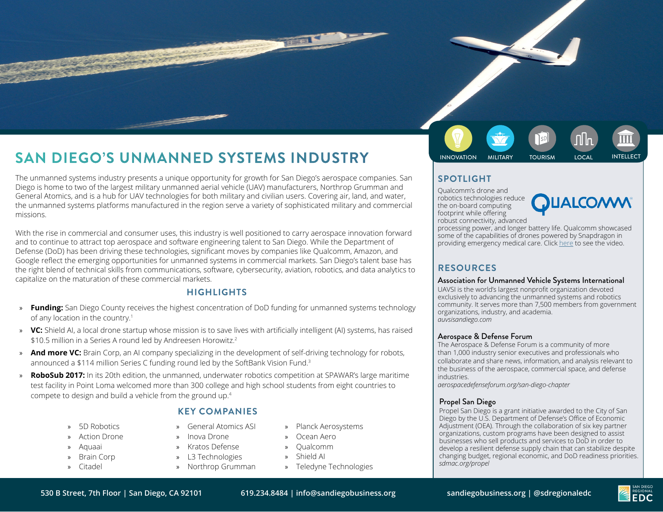# **INNOVATION MILITARY INDUSTRY** INDUSTRY INNOVATION MILITARY TOURISM LOCAL INTELLECT

The unmanned systems industry presents a unique opportunity for growth for San Diego's aerospace companies. San Diego is home to two of the largest military unmanned aerial vehicle (UAV) manufacturers, Northrop Grumman and General Atomics, and is a hub for UAV technologies for both military and civilian users. Covering air, land, and water, the unmanned systems platforms manufactured in the region serve a variety of sophisticated military and commercial missions.

With the rise in commercial and consumer uses, this industry is well positioned to carry aerospace innovation forward and to continue to attract top aerospace and software engineering talent to San Diego. While the Department of Defense (DoD) has been driving these technologies, significant moves by companies like Qualcomm, Amazon, and Google reflect the emerging opportunities for unmanned systems in commercial markets. San Diego's talent base has the right blend of technical skills from communications, software, cybersecurity, aviation, robotics, and data analytics to capitalize on the maturation of these commercial markets.

### **HIGHLIGHTS**

- » **Funding:** San Diego County receives the highest concentration of DoD funding for unmanned systems technology of any location in the country.1
- » **VC:** Shield AI, a local drone startup whose mission is to save lives with artificially intelligent (AI) systems, has raised \$10.5 million in a Series A round led by Andreesen Horowitz.<sup>2</sup>
- » **And more VC:** Brain Corp, an AI company specializing in the development of self-driving technology for robots, announced a \$114 million Series C funding round led by the SoftBank Vision Fund.<sup>3</sup>
- » **RoboSub 2017:** In its 20th edition, the unmanned, underwater robotics competition at SPAWAR's large maritime test facility in Point Loma welcomed more than 300 college and high school students from eight countries to compete to design and build a vehicle from the ground up.4

#### 5D Robotics

- » Action Drone
- » Aquaai
- » Brain Corp
- » Citadel
- **KEY COMPANIES**
- » General Atomics ASI
- » Inova Drone
- » Kratos Defense
- » L3 Technologies
- » Northrop Grumman
- » Planck Aerosystems
- » Ocean Aero
	- » Qualcomm
- » Shield AI
	- » Teledyne Technologies

# **SPOTLIGHT**

Qualcomm's drone and robotics technologies reduce the on-board computing footprint while offering robust connectivity, advanced



processing power, and longer battery life. Qualcomm showcased some of the capabilities of drones powered by Snapdragon in providing emergency medical care. Click [here](https://www.youtube.com/watch%3Fv%3DhQKcTw_wz44) to see the video.

## **RESOURCES**

#### Association for Unmanned Vehicle Systems International

UAVSI is the world's largest nonprofit organization devoted exclusively to advancing the unmanned systems and robotics community. It serves more than 7,500 members from government organizations, industry, and academia. *auvsisandiego.com*

#### Aerospace & Defense Forum

The Aerospace & Defense Forum is a community of more than 1,000 industry senior executives and professionals who collaborate and share news, information, and analysis relevant to the business of the aerospace, commercial space, and defense industries.

*aerospacedefenseforum.org/san-diego-chapter*

#### Propel San Diego

Propel San Diego is a grant initiative awarded to the City of San Diego by the U.S. Department of Defense's Office of Economic Adjustment (OEA). Through the collaboration of six key partner organizations, custom programs have been designed to assist businesses who sell products and services to DoD in order to develop a resilient defense supply chain that can stabilize despite changing budget, regional economic, and DoD readiness priorities. *sdmac.org/propel*

**CONTRACTOR**